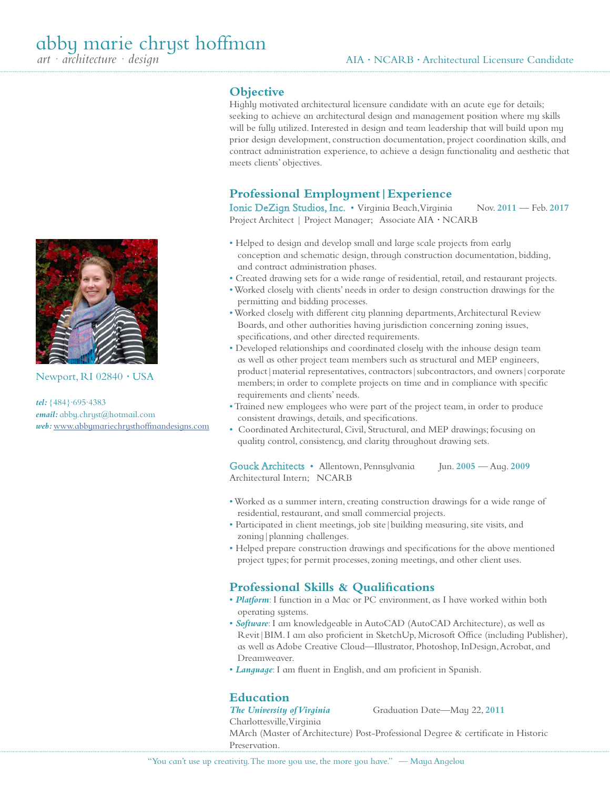

Newport, RI 02840 *·* USA

*tel:* {484}·695·4383 *email:* abby.chryst@hotmail.com *web:* www.abbymariechrysthoffmandesigns.com

# **Objective**

Highly motivated architectural licensure candidate with an acute eye for details; seeking to achieve an architectural design and management position where my skills will be fully utilized. Interested in design and team leadership that will build upon my prior design development, construction documentation, project coordination skills, and contract administration experience, to achieve a design functionality and aesthetic that meets clients' objectives.

# **Professional Employment|Experience**

Ionic DeZign Studios, Inc. • Virginia Beach, Virginia Nov. 2011 - Feb. 2017 Project Architect | Project Manager; Associate AIA *·* NCARB

- Helped to design and develop small and large scale projects from early conception and schematic design, through construction documentation, bidding, and contract administration phases.
- Created drawing sets for a wide range of residential, retail, and restaurant projects.
- Worked closely with clients' needs in order to design construction drawings for the permitting and bidding processes.
- Worked closely with different city planning departments, Architectural Review Boards, and other authorities having jurisdiction concerning zoning issues, specifications, and other directed requirements.
- Developed relationships and coordinated closely with the inhouse design team as well as other project team members such as structural and MEP engineers, product | material representatives, contractors | subcontractors, and owners | corporate members; in order to complete projects on time and in compliance with specific requirements and clients' needs.
- Trained new employees who were part of the project team, in order to produce consistent drawings, details, and specifications.
- Coordinated Architectural, Civil, Structural, and MEP drawings; focusing on quality control, consistency, and clarity throughout drawing sets.

Gouck Architects • Allentown, Pennsylvania Jun. **2005** — Aug. **2009** Architectural Intern; NCARB

- Worked as a summer intern, creating construction drawings for a wide range of residential, restaurant, and small commercial projects.
- Participated in client meetings, job site|building measuring, site visits, and zoning | planning challenges.
- Helped prepare construction drawings and specifications for the above mentioned project types; for permit processes, zoning meetings, and other client uses.

# **Professional Skills & Qualifications**

- *Platform*: I function in a Mac or PC environment, as I have worked within both operating systems.
- *Software*: I am knowledgeable in AutoCAD (AutoCAD Architecture), as well as Revit|BIM. I am also proficient in SketchUp, Microsoft Office (including Publisher), as well as Adobe Creative Cloud—Illustrator, Photoshop, InDesign, Acrobat, and Dreamweaver.
- *Language*: I am fluent in English, and am proficient in Spanish.

## **Education**

*The University of Virginia* Graduation Date—May 22, **2011**

Charlottesville, Virginia MArch (Master of Architecture) Post-Professional Degree & certificate in Historic Preservation.